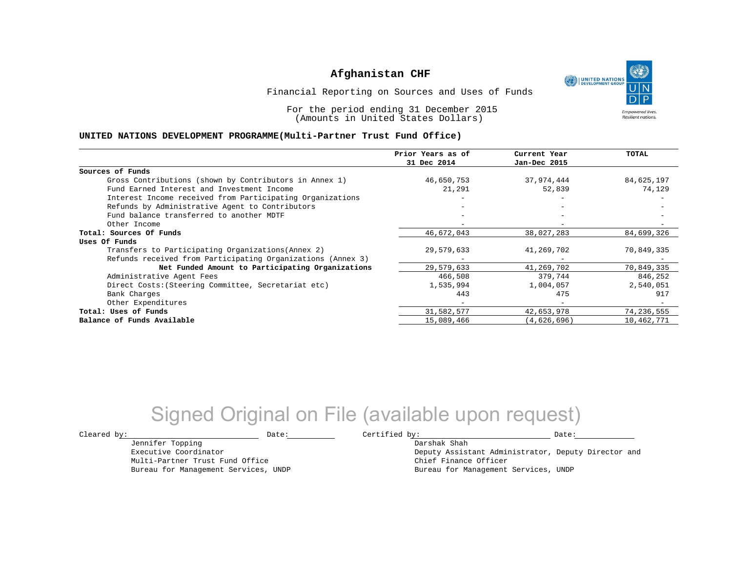UNITED NATIONS **Empowered lives Resilient nations.** 

Financial Reporting on Sources and Uses of Funds

For the period ending 31 December 2015 (Amounts in United States Dollars)

#### **UNITED NATIONS DEVELOPMENT PROGRAMME(Multi-Partner Trust Fund Office)**

|                                                             | Prior Years as of | Current Year                 | <b>TOTAL</b> |
|-------------------------------------------------------------|-------------------|------------------------------|--------------|
|                                                             | 31 Dec 2014       | Jan-Dec 2015                 |              |
| Sources of Funds                                            |                   |                              |              |
| Gross Contributions (shown by Contributors in Annex 1)      | 46,650,753        | 37,974,444                   | 84,625,197   |
| Fund Earned Interest and Investment Income                  | 21,291            | 52,839                       | 74,129       |
| Interest Income received from Participating Organizations   |                   |                              |              |
| Refunds by Administrative Agent to Contributors             |                   | $\qquad \qquad \blacksquare$ |              |
| Fund balance transferred to another MDTF                    |                   |                              |              |
| Other Income                                                |                   |                              |              |
| Total: Sources Of Funds                                     | 46,672,043        | 38,027,283                   | 84,699,326   |
| Uses Of Funds                                               |                   |                              |              |
| Transfers to Participating Organizations (Annex 2)          | 29,579,633        | 41,269,702                   | 70,849,335   |
| Refunds received from Participating Organizations (Annex 3) |                   |                              |              |
| Net Funded Amount to Participating Organizations            | 29,579,633        | 41,269,702                   | 70,849,335   |
| Administrative Agent Fees                                   | 466,508           | 379,744                      | 846,252      |
| Direct Costs: (Steering Committee, Secretariat etc)         | 1,535,994         | 1,004,057                    | 2,540,051    |
| Bank Charges                                                | 443               | 475                          | 917          |
| Other Expenditures                                          |                   | $\overline{\phantom{0}}$     |              |
| Total: Uses of Funds                                        | 31,582,577        | 42,653,978                   | 74,236,555   |
| Balance of Funds Available                                  | 15,089,466        | (4,626,696)                  | 10,462,771   |

## Signed Original on File (available upon request)

 $\texttt{Cleared by:}\footnotesize \begin{minipage}{14pt} \begin{tabular}{p{0.87\textwidth}p{0.87\textwidth}} \centering \end{tabular} \end{minipage}$ 

Jennifer Topping

Multi-Partner Trust Fund Office Bureau for Management Services, UNDP

Executive Coordinator

Darshak Shah

Deputy Assistant Administrator, Deputy Director and Chief Finance Officer Bureau for Management Services, UNDP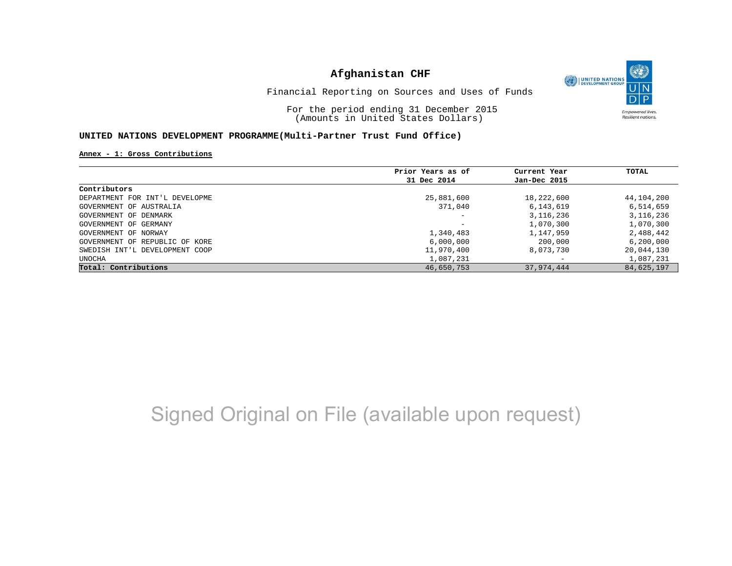

Financial Reporting on Sources and Uses of Funds

For the period ending 31 December 2015 (Amounts in United States Dollars)

#### **UNITED NATIONS DEVELOPMENT PROGRAMME(Multi-Partner Trust Fund Office)**

**Annex - 1: Gross Contributions**

|                                | Prior Years as of | Current Year                 | TOTAL       |
|--------------------------------|-------------------|------------------------------|-------------|
|                                | 31 Dec 2014       | Jan-Dec 2015                 |             |
| Contributors                   |                   |                              |             |
| DEPARTMENT FOR INT'L DEVELOPME | 25,881,600        | 18,222,600                   | 44,104,200  |
| GOVERNMENT OF AUSTRALIA        | 371,040           | 6,143,619                    | 6,514,659   |
| GOVERNMENT OF DENMARK          |                   | 3, 116, 236                  | 3, 116, 236 |
| GOVERNMENT OF GERMANY          |                   | 1,070,300                    | 1,070,300   |
| GOVERNMENT OF NORWAY           | 1,340,483         | 1,147,959                    | 2,488,442   |
| GOVERNMENT OF REPUBLIC OF KORE | 6,000,000         | 200,000                      | 6,200,000   |
| SWEDISH INT'L DEVELOPMENT COOP | 11,970,400        | 8,073,730                    | 20,044,130  |
| UNOCHA                         | 1,087,231         | $\qquad \qquad \blacksquare$ | 1,087,231   |
| Total: Contributions           | 46,650,753        | 37,974,444                   | 84,625,197  |

## Signed Original on File (available upon request)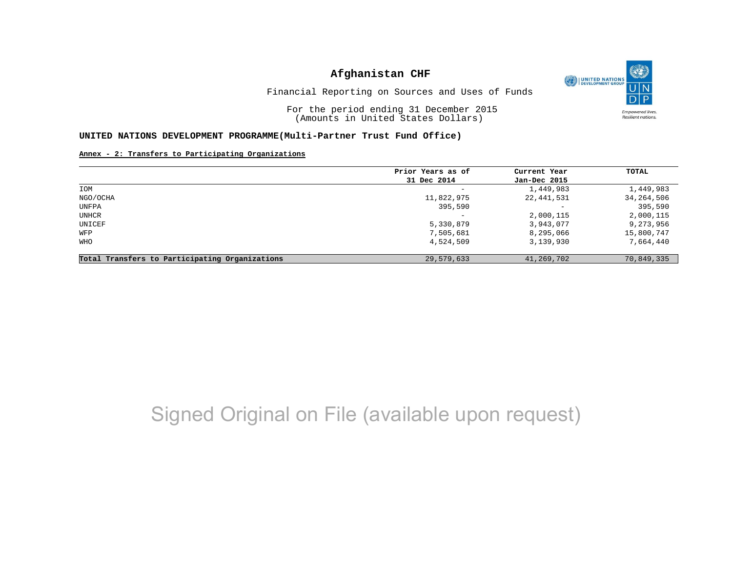O UNITED NATIONS **Empowered lives** Resilient nations.

Financial Reporting on Sources and Uses of Funds

For the period ending 31 December 2015 (Amounts in United States Dollars)

#### **UNITED NATIONS DEVELOPMENT PROGRAMME(Multi-Partner Trust Fund Office)**

**Annex - 2: Transfers to Participating Organizations**

|             |                   | TOTAL        |
|-------------|-------------------|--------------|
| 31 Dec 2014 | Jan-Dec 2015      |              |
| -           | 1,449,983         | 1,449,983    |
| 11,822,975  | 22,441,531        | 34, 264, 506 |
| 395,590     | $\qquad \qquad -$ | 395,590      |
|             | 2,000,115         | 2,000,115    |
| 5,330,879   | 3,943,077         | 9,273,956    |
| 7,505,681   | 8,295,066         | 15,800,747   |
| 4,524,509   | 3,139,930         | 7,664,440    |
| 29,579,633  | 41,269,702        | 70,849,335   |
|             | Prior Years as of | Current Year |

## Signed Original on File (available upon request)